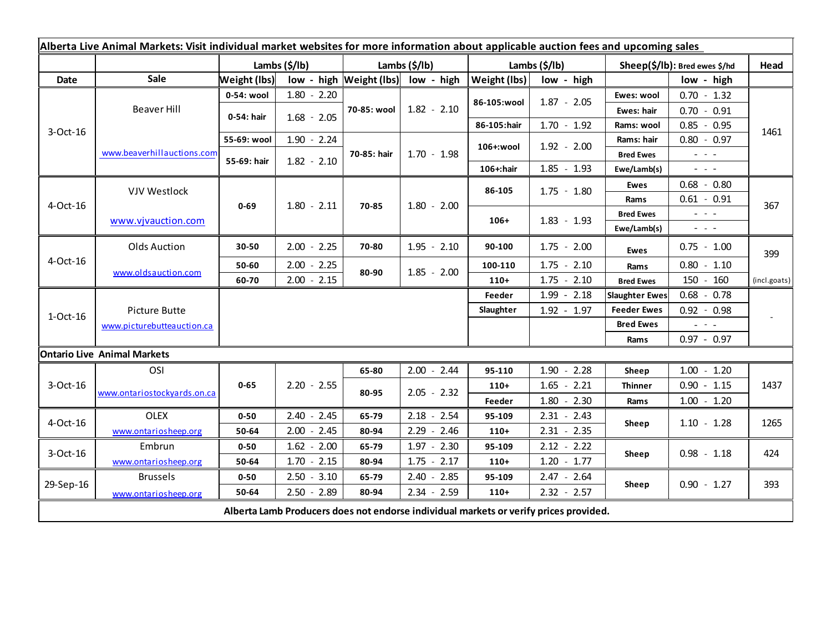|             | Alberta Live Animal Markets: Visit individual market websites for more information about applicable auction fees and upcoming sales |                       |               |               |                                    |               |                        |                               |                                             |              |
|-------------|-------------------------------------------------------------------------------------------------------------------------------------|-----------------------|---------------|---------------|------------------------------------|---------------|------------------------|-------------------------------|---------------------------------------------|--------------|
|             |                                                                                                                                     | Lambs $(\frac{2}{3})$ |               | Lambs (\$/lb) |                                    | Lambs (\$/lb) |                        | Sheep(\$/lb): Bred ewes \$/hd |                                             | Head         |
| <b>Date</b> | Sale                                                                                                                                | Weight (lbs)          |               |               | low - high Weight (lbs) low - high | Weight (lbs)  | low - high             |                               | low - high                                  |              |
| 3-Oct-16    | Beaver Hill                                                                                                                         | 0-54: wool            | $1.80 - 2.20$ |               | $1.82 - 2.10$                      | 86-105:wool   | $1.87 - 2.05$          | Ewes: wool                    | $0.70 - 1.32$                               | 1461         |
|             |                                                                                                                                     | 0-54: hair            | $1.68 - 2.05$ | 70-85: wool   |                                    |               |                        | Ewes: hair                    | $0.70 - 0.91$                               |              |
|             |                                                                                                                                     |                       |               |               |                                    | 86-105:hair   | $1.70 - 1.92$          | Rams: wool                    | $0.85 - 0.95$                               |              |
|             | www.beaverhillauctions.com                                                                                                          | 55-69: wool           | $1.90 - 2.24$ | 70-85: hair   | $1.70 - 1.98$                      | 106+:wool     | $1.92 - 2.00$          | Rams: hair                    | $0.80 - 0.97$                               |              |
|             |                                                                                                                                     | 55-69: hair           | $1.82 - 2.10$ |               |                                    |               |                        | <b>Bred Ewes</b>              | $\omega_{\rm{eff}}$ and $\omega_{\rm{eff}}$ |              |
|             |                                                                                                                                     |                       |               |               |                                    | 106+:hair     | $1.85 - 1.93$          | Ewe/Lamb(s)                   | $\omega_{\rm{eff}}$ and $\omega_{\rm{eff}}$ |              |
| 4-Oct-16    | <b>VJV Westlock</b>                                                                                                                 | $0 - 69$              | $1.80 - 2.11$ | 70-85         | $1.80 - 2.00$                      | 86-105        | $1.75 - 1.80$          | Ewes                          | $0.68 - 0.80$                               | 367          |
|             |                                                                                                                                     |                       |               |               |                                    |               |                        | Rams                          | $0.61 - 0.91$                               |              |
|             | www.vjvauction.com                                                                                                                  |                       |               |               |                                    | $106+$        | $1.83 - 1.93$          | <b>Bred Ewes</b>              | $\omega_{\rm{eff}}$ and $\omega_{\rm{eff}}$ |              |
|             |                                                                                                                                     |                       |               |               |                                    |               |                        | Ewe/Lamb(s)                   | $\omega_{\rm{max}}$ and $\omega_{\rm{max}}$ |              |
| 4-Oct-16    | <b>Olds Auction</b>                                                                                                                 | 30-50                 | $2.00 - 2.25$ | 70-80         | $1.95 - 2.10$                      | 90-100        | $1.75 - 2.00$          | <b>Ewes</b>                   | $0.75 - 1.00$                               | 399          |
|             | www.oldsauction.com                                                                                                                 | 50-60                 | $2.00 - 2.25$ | 80-90         | $1.85 - 2.00$                      | 100-110       | $1.75 - 2.10$          | Rams                          | $0.80 - 1.10$                               |              |
|             |                                                                                                                                     | 60-70                 | $2.00 - 2.15$ |               |                                    | $110+$        | $1.75 - 2.10$          | <b>Bred Ewes</b>              | 150 - 160                                   | (incl.goats) |
| $1-Oct-16$  |                                                                                                                                     |                       |               |               |                                    | Feeder        | $1.99 - 2.18$          | <b>Slaughter Ewes</b>         | $0.68 - 0.78$                               |              |
|             | <b>Picture Butte</b>                                                                                                                |                       |               |               |                                    | Slaughter     | $1.92 - 1.97$          | <b>Feeder Ewes</b>            | $0.92 - 0.98$                               |              |
|             | www.picturebutteauction.ca                                                                                                          |                       |               |               |                                    |               |                        | <b>Bred Ewes</b>              | 20 A L                                      |              |
|             |                                                                                                                                     |                       |               |               |                                    |               |                        | Rams                          | $0.97 - 0.97$                               |              |
|             | <b>Ontario Live Animal Markets</b>                                                                                                  |                       |               |               |                                    |               |                        |                               |                                             |              |
| 3-Oct-16    | OSI                                                                                                                                 |                       |               | 65-80         | $2.00 - 2.44$                      | 95-110        | $1.90 -$<br>2.28       | Sheep                         | $1.00 - 1.20$                               |              |
|             | www.ontariostockyards.on.ca                                                                                                         | $0 - 65$              | $2.20 - 2.55$ | 80-95         | $2.05 - 2.32$                      | $110+$        | 2.21<br>1.65<br>$\sim$ | <b>Thinner</b>                | $0.90 - 1.15$                               | 1437         |
|             |                                                                                                                                     |                       |               |               |                                    | Feeder        | $1.80 - 2.30$          | Rams                          | $1.00 - 1.20$                               |              |
| 4-Oct-16    | <b>OLEX</b>                                                                                                                         | $0 - 50$              | $2.40 - 2.45$ | 65-79         | $2.18 - 2.54$                      | 95-109        | $2.31 - 2.43$          | Sheep                         | $1.10 - 1.28$                               | 1265         |
|             | www.ontariosheep.org                                                                                                                | 50-64                 | $2.00 - 2.45$ | 80-94         | $2.29 - 2.46$                      | $110+$        | $2.31 - 2.35$          |                               |                                             |              |
| 3-Oct-16    | Embrun                                                                                                                              | $0 - 50$              | $1.62 - 2.00$ | 65-79         | $1.97 - 2.30$                      | 95-109        | $2.12 - 2.22$          | Sheep                         | $0.98 - 1.18$                               | 424          |
|             | www.ontariosheep.org                                                                                                                | 50-64                 | $1.70 - 2.15$ | 80-94         | $1.75 - 2.17$                      | $110+$        | $1.20 - 1.77$          |                               |                                             |              |
| 29-Sep-16   | <b>Brussels</b>                                                                                                                     | $0 - 50$              | $2.50 - 3.10$ | 65-79         | $2.40 - 2.85$                      | 95-109        | $2.47 - 2.64$          | Sheep                         | $0.90 - 1.27$                               | 393          |
|             | www.ontariosheep.org                                                                                                                | 50-64                 | $2.50 - 2.89$ | 80-94         | $2.34 - 2.59$                      | $110+$        | $2.32 - 2.57$          |                               |                                             |              |